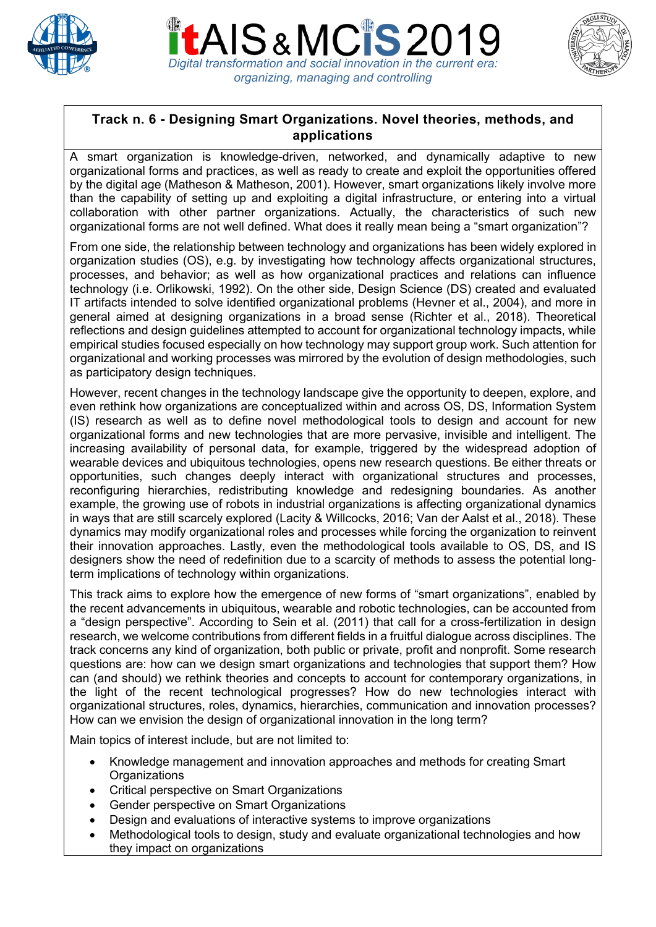





# **Track n. 6 - Designing Smart Organizations. Novel theories, methods, and applications**

A smart organization is knowledge-driven, networked, and dynamically adaptive to new organizational forms and practices, as well as ready to create and exploit the opportunities offered by the digital age (Matheson & Matheson, 2001). However, smart organizations likely involve more than the capability of setting up and exploiting a digital infrastructure, or entering into a virtual collaboration with other partner organizations. Actually, the characteristics of such new organizational forms are not well defined. What does it really mean being a "smart organization"?

From one side, the relationship between technology and organizations has been widely explored in organization studies (OS), e.g. by investigating how technology affects organizational structures, processes, and behavior; as well as how organizational practices and relations can influence technology (i.e. Orlikowski, 1992). On the other side, Design Science (DS) created and evaluated IT artifacts intended to solve identified organizational problems (Hevner et al., 2004), and more in general aimed at designing organizations in a broad sense (Richter et al., 2018). Theoretical reflections and design guidelines attempted to account for organizational technology impacts, while empirical studies focused especially on how technology may support group work. Such attention for organizational and working processes was mirrored by the evolution of design methodologies, such as participatory design techniques.

However, recent changes in the technology landscape give the opportunity to deepen, explore, and even rethink how organizations are conceptualized within and across OS, DS, Information System (IS) research as well as to define novel methodological tools to design and account for new organizational forms and new technologies that are more pervasive, invisible and intelligent. The increasing availability of personal data, for example, triggered by the widespread adoption of wearable devices and ubiquitous technologies, opens new research questions. Be either threats or opportunities, such changes deeply interact with organizational structures and processes, reconfiguring hierarchies, redistributing knowledge and redesigning boundaries. As another example, the growing use of robots in industrial organizations is affecting organizational dynamics in ways that are still scarcely explored (Lacity & Willcocks, 2016; Van der Aalst et al., 2018). These dynamics may modify organizational roles and processes while forcing the organization to reinvent their innovation approaches. Lastly, even the methodological tools available to OS, DS, and IS designers show the need of redefinition due to a scarcity of methods to assess the potential longterm implications of technology within organizations.

This track aims to explore how the emergence of new forms of "smart organizations", enabled by the recent advancements in ubiquitous, wearable and robotic technologies, can be accounted from a "design perspective". According to Sein et al. (2011) that call for a cross-fertilization in design research, we welcome contributions from different fields in a fruitful dialogue across disciplines. The track concerns any kind of organization, both public or private, profit and nonprofit. Some research questions are: how can we design smart organizations and technologies that support them? How can (and should) we rethink theories and concepts to account for contemporary organizations, in the light of the recent technological progresses? How do new technologies interact with organizational structures, roles, dynamics, hierarchies, communication and innovation processes? How can we envision the design of organizational innovation in the long term?

Main topics of interest include, but are not limited to:

- Knowledge management and innovation approaches and methods for creating Smart **Organizations**
- Critical perspective on Smart Organizations
- Gender perspective on Smart Organizations
- Design and evaluations of interactive systems to improve organizations
- Methodological tools to design, study and evaluate organizational technologies and how they impact on organizations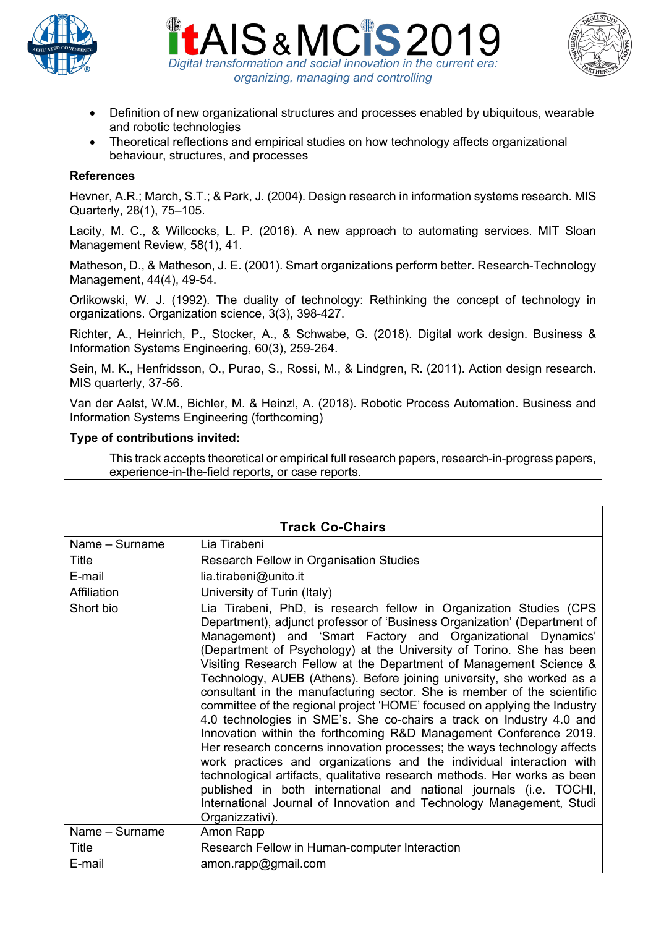





- Definition of new organizational structures and processes enabled by ubiquitous, wearable and robotic technologies
- Theoretical reflections and empirical studies on how technology affects organizational behaviour, structures, and processes

#### **References**

Hevner, A.R.; March, S.T.; & Park, J. (2004). Design research in information systems research. MIS Quarterly, 28(1), 75–105.

Lacity, M. C., & Willcocks, L. P. (2016). A new approach to automating services. MIT Sloan Management Review, 58(1), 41.

Matheson, D., & Matheson, J. E. (2001). Smart organizations perform better. Research-Technology Management, 44(4), 49-54.

Orlikowski, W. J. (1992). The duality of technology: Rethinking the concept of technology in organizations. Organization science, 3(3), 398-427.

Richter, A., Heinrich, P., Stocker, A., & Schwabe, G. (2018). Digital work design. Business & Information Systems Engineering, 60(3), 259-264.

Sein, M. K., Henfridsson, O., Purao, S., Rossi, M., & Lindgren, R. (2011). Action design research. MIS quarterly, 37-56.

Van der Aalst, W.M., Bichler, M. & Heinzl, A. (2018). Robotic Process Automation. Business and Information Systems Engineering (forthcoming)

#### **Type of contributions invited:**

This track accepts theoretical or empirical full research papers, research-in-progress papers, experience-in-the-field reports, or case reports.

| <b>Track Co-Chairs</b> |                                                                                                                                                                                                                                                                                                                                                                                                                                                                                                                                                                                                                                                                                                                                                                                                                                                                                                                                                                                                                                                                                                                                           |
|------------------------|-------------------------------------------------------------------------------------------------------------------------------------------------------------------------------------------------------------------------------------------------------------------------------------------------------------------------------------------------------------------------------------------------------------------------------------------------------------------------------------------------------------------------------------------------------------------------------------------------------------------------------------------------------------------------------------------------------------------------------------------------------------------------------------------------------------------------------------------------------------------------------------------------------------------------------------------------------------------------------------------------------------------------------------------------------------------------------------------------------------------------------------------|
| Name – Surname         | Lia Tirabeni                                                                                                                                                                                                                                                                                                                                                                                                                                                                                                                                                                                                                                                                                                                                                                                                                                                                                                                                                                                                                                                                                                                              |
| Title                  | Research Fellow in Organisation Studies                                                                                                                                                                                                                                                                                                                                                                                                                                                                                                                                                                                                                                                                                                                                                                                                                                                                                                                                                                                                                                                                                                   |
| E-mail                 | lia.tirabeni@unito.it                                                                                                                                                                                                                                                                                                                                                                                                                                                                                                                                                                                                                                                                                                                                                                                                                                                                                                                                                                                                                                                                                                                     |
| Affiliation            | University of Turin (Italy)                                                                                                                                                                                                                                                                                                                                                                                                                                                                                                                                                                                                                                                                                                                                                                                                                                                                                                                                                                                                                                                                                                               |
| Short bio              | Lia Tirabeni, PhD, is research fellow in Organization Studies (CPS<br>Department), adjunct professor of 'Business Organization' (Department of<br>Management) and 'Smart Factory and Organizational Dynamics'<br>(Department of Psychology) at the University of Torino. She has been<br>Visiting Research Fellow at the Department of Management Science &<br>Technology, AUEB (Athens). Before joining university, she worked as a<br>consultant in the manufacturing sector. She is member of the scientific<br>committee of the regional project 'HOME' focused on applying the Industry<br>4.0 technologies in SME's. She co-chairs a track on Industry 4.0 and<br>Innovation within the forthcoming R&D Management Conference 2019.<br>Her research concerns innovation processes; the ways technology affects<br>work practices and organizations and the individual interaction with<br>technological artifacts, qualitative research methods. Her works as been<br>published in both international and national journals (i.e. TOCHI,<br>International Journal of Innovation and Technology Management, Studi<br>Organizzativi). |
| Name - Surname         | Amon Rapp                                                                                                                                                                                                                                                                                                                                                                                                                                                                                                                                                                                                                                                                                                                                                                                                                                                                                                                                                                                                                                                                                                                                 |
| Title                  | Research Fellow in Human-computer Interaction                                                                                                                                                                                                                                                                                                                                                                                                                                                                                                                                                                                                                                                                                                                                                                                                                                                                                                                                                                                                                                                                                             |
| E-mail                 | amon.rapp@gmail.com                                                                                                                                                                                                                                                                                                                                                                                                                                                                                                                                                                                                                                                                                                                                                                                                                                                                                                                                                                                                                                                                                                                       |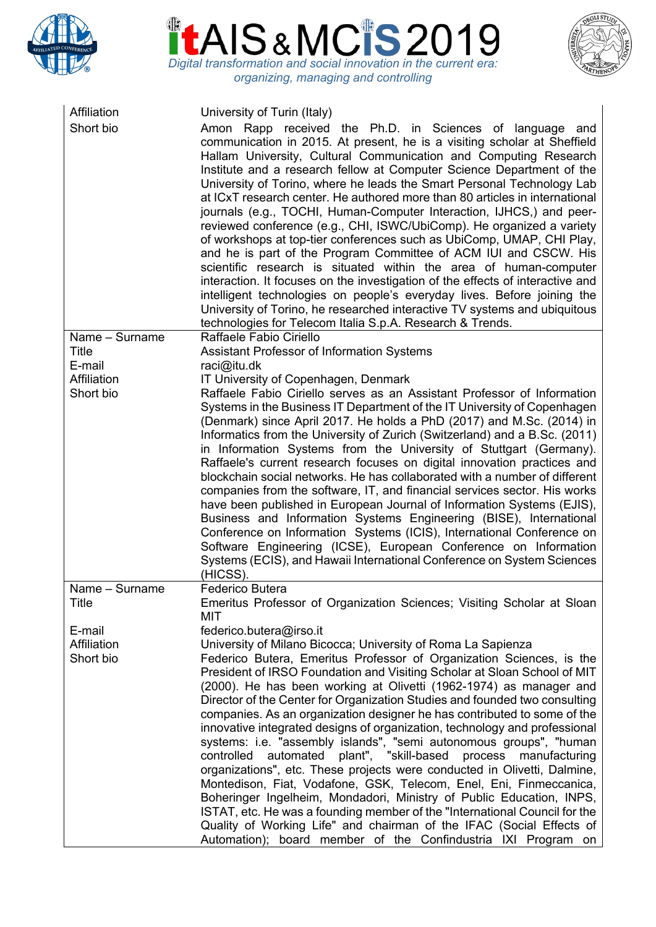





| Affiliation<br>Short bio           | University of Turin (Italy)<br>Amon Rapp received the Ph.D. in Sciences of language and<br>communication in 2015. At present, he is a visiting scholar at Sheffield<br>Hallam University, Cultural Communication and Computing Research<br>Institute and a research fellow at Computer Science Department of the<br>University of Torino, where he leads the Smart Personal Technology Lab<br>at ICxT research center. He authored more than 80 articles in international<br>journals (e.g., TOCHI, Human-Computer Interaction, IJHCS,) and peer-<br>reviewed conference (e.g., CHI, ISWC/UbiComp). He organized a variety<br>of workshops at top-tier conferences such as UbiComp, UMAP, CHI Play,<br>and he is part of the Program Committee of ACM IUI and CSCW. His<br>scientific research is situated within the area of human-computer<br>interaction. It focuses on the investigation of the effects of interactive and<br>intelligent technologies on people's everyday lives. Before joining the<br>University of Torino, he researched interactive TV systems and ubiquitous<br>technologies for Telecom Italia S.p.A. Research & Trends. |
|------------------------------------|-----------------------------------------------------------------------------------------------------------------------------------------------------------------------------------------------------------------------------------------------------------------------------------------------------------------------------------------------------------------------------------------------------------------------------------------------------------------------------------------------------------------------------------------------------------------------------------------------------------------------------------------------------------------------------------------------------------------------------------------------------------------------------------------------------------------------------------------------------------------------------------------------------------------------------------------------------------------------------------------------------------------------------------------------------------------------------------------------------------------------------------------------------|
| Name - Surname<br><b>Title</b>     | Raffaele Fabio Ciriello                                                                                                                                                                                                                                                                                                                                                                                                                                                                                                                                                                                                                                                                                                                                                                                                                                                                                                                                                                                                                                                                                                                             |
| E-mail                             | <b>Assistant Professor of Information Systems</b><br>raci@itu.dk                                                                                                                                                                                                                                                                                                                                                                                                                                                                                                                                                                                                                                                                                                                                                                                                                                                                                                                                                                                                                                                                                    |
| Affiliation<br>Short bio           | IT University of Copenhagen, Denmark<br>Raffaele Fabio Ciriello serves as an Assistant Professor of Information<br>Systems in the Business IT Department of the IT University of Copenhagen<br>(Denmark) since April 2017. He holds a PhD (2017) and M.Sc. (2014) in<br>Informatics from the University of Zurich (Switzerland) and a B.Sc. (2011)<br>in Information Systems from the University of Stuttgart (Germany).<br>Raffaele's current research focuses on digital innovation practices and<br>blockchain social networks. He has collaborated with a number of different<br>companies from the software, IT, and financial services sector. His works<br>have been published in European Journal of Information Systems (EJIS),<br>Business and Information Systems Engineering (BISE), International<br>Conference on Information Systems (ICIS), International Conference on<br>Software Engineering (ICSE), European Conference on Information<br>Systems (ECIS), and Hawaii International Conference on System Sciences<br>(HICSS).                                                                                                    |
| Name - Surname<br>Title            | Federico Butera<br>Emeritus Professor of Organization Sciences; Visiting Scholar at Sloan                                                                                                                                                                                                                                                                                                                                                                                                                                                                                                                                                                                                                                                                                                                                                                                                                                                                                                                                                                                                                                                           |
|                                    | MIT                                                                                                                                                                                                                                                                                                                                                                                                                                                                                                                                                                                                                                                                                                                                                                                                                                                                                                                                                                                                                                                                                                                                                 |
| E-mail<br>Affiliation<br>Short bio | federico.butera@irso.it<br>University of Milano Bicocca; University of Roma La Sapienza<br>Federico Butera, Emeritus Professor of Organization Sciences, is the<br>President of IRSO Foundation and Visiting Scholar at Sloan School of MIT<br>(2000). He has been working at Olivetti (1962-1974) as manager and<br>Director of the Center for Organization Studies and founded two consulting<br>companies. As an organization designer he has contributed to some of the<br>innovative integrated designs of organization, technology and professional<br>systems: i.e. "assembly islands", "semi autonomous groups", "human<br>controlled automated plant", "skill-based process manufacturing<br>organizations", etc. These projects were conducted in Olivetti, Dalmine,<br>Montedison, Fiat, Vodafone, GSK, Telecom, Enel, Eni, Finmeccanica,<br>Boheringer Ingelheim, Mondadori, Ministry of Public Education, INPS,<br>ISTAT, etc. He was a founding member of the "International Council for the<br>Quality of Working Life" and chairman of the IFAC (Social Effects of<br>Automation); board member of the Confindustria IXI Program on |